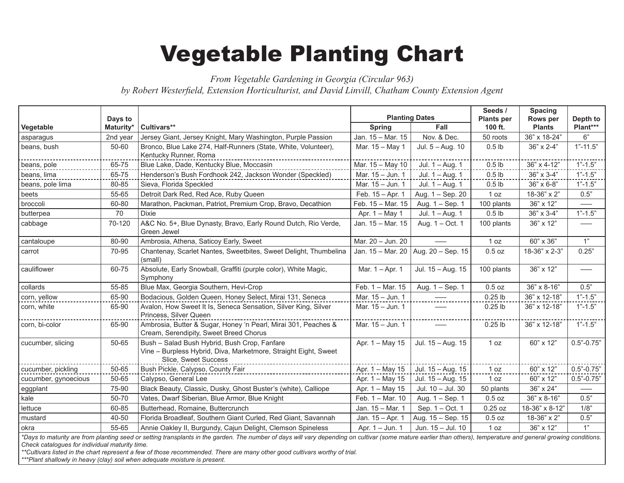## Vegetable Planting Chart

*From Vegetable Gardening in Georgia (Circular 963) by Robert Westerfield, Extension Horticulturist, and David Linvill, Chatham County Extension Agent*

|                      | Days to   |                                                                                                                                                                                                              | <b>Planting Dates</b>                          |                                    | Seeds /<br><b>Plants per</b> | <b>Spacing</b><br>Rows per | Depth to       |
|----------------------|-----------|--------------------------------------------------------------------------------------------------------------------------------------------------------------------------------------------------------------|------------------------------------------------|------------------------------------|------------------------------|----------------------------|----------------|
| Vegetable            | Maturity* | Cultivars**                                                                                                                                                                                                  | <b>Spring</b>                                  | Fall                               | 100 ft.                      | <b>Plants</b>              | Plant***       |
| asparagus            | 2nd year  | Jersey Giant, Jersey Knight, Mary Washington, Purple Passion                                                                                                                                                 | Jan. 15 - Mar. 15                              | Nov. & Dec.                        | 50 roots                     | 36" x 18-24"               | 6"             |
| beans, bush          | 50-60     | Bronco, Blue Lake 274, Half-Runners (State, White, Volunteer),<br>Kentucky Runner, Roma                                                                                                                      | Mar. 15 - May 1                                | Jul. 5 - Aug. 10                   | 0.5 <sub>lb</sub>            | 36" x 2-4"                 | $1" - 11.5"$   |
| beans, pole          | 65-75     | Blue Lake, Dade, Kentucky Blue, Moccasin                                                                                                                                                                     | Mar. 15 - May 10                               | Jul. 1 - Aug. 1                    | $0.5$ lb                     | 36" x 4-12"                | $1" - 1.5"$    |
| beans, lima          | 65-75     | Henderson's Bush Fordhook 242, Jackson Wonder (Speckled)                                                                                                                                                     | Mar. 15 - Jun. 1                               | Jul. 1 - Aug. 1                    | 0.5 <sub>1b</sub>            | 36" x 3-4"                 | $1" - 1.5"$    |
| beans, pole lima     | 80-85     | Sieva, Florida Speckled                                                                                                                                                                                      | Mar. 15 - Jun. 1                               | Jul. 1 - Aug. 1                    | $0.5$ lb                     | 36" x 6-8"                 | $1" - 1.5"$    |
| beets                | 55-65     | Detroit Dark Red, Red Ace, Ruby Queen                                                                                                                                                                        | Feb. 15 - Apr. 1                               | Aug. 1 - Sep. 20                   | 1 oz                         | 18-36" x 2"                | 0.5"           |
| broccoli             | 60-80     | Marathon, Packman, Patriot, Premium Crop, Bravo, Decathion                                                                                                                                                   | Feb. 15 - Mar. 15                              | Aug. 1 – Sep. 1                    | 100 plants                   | 36" x 12"                  |                |
| butterpea            | 70        | <b>Dixie</b>                                                                                                                                                                                                 | Apr. 1 - May 1                                 | Jul. 1 - Aug. 1                    | 0.5 <sub>lb</sub>            | 36" x 3-4"                 | $1" - 1.5"$    |
| cabbage              | 70-120    | A&C No. 5+, Blue Dynasty, Bravo, Early Round Dutch, Rio Verde,<br>Green Jewel                                                                                                                                | Jan. 15 - Mar. 15                              | Aug. 1 - Oct. 1                    | 100 plants                   | 36" x 12"                  |                |
| cantaloupe           | 80-90     | Ambrosia, Athena, Saticoy Early, Sweet                                                                                                                                                                       | Mar. 20 - Jun. 20                              |                                    | 1 oz                         | 60" x 36"                  | 1"             |
| carrot               | 70-95     | Chantenay, Scarlet Nantes, Sweetbites, Sweet Delight, Thumbelina<br>(small)                                                                                                                                  | Jan. 15 - Mar. 20                              | Aug. 20 - Sep. 15                  | 0.5 oz                       | 18-36" x 2-3"              | 0.25"          |
| cauliflower          | 60-75     | Absolute, Early Snowball, Graffiti (purple color), White Magic,<br>Symphony                                                                                                                                  | Mar. 1 - Apr. 1                                | Jul. 15 - Aug. 15                  | 100 plants                   | 36" x 12"                  |                |
| collards             | 55-85     | Blue Max, Georgia Southern, Hevi-Crop                                                                                                                                                                        | Feb. 1 - Mar. 15                               | Aug. 1 - Sep. 1                    | 0.5 oz                       | 36" x 8-16"                | 0.5"           |
| corn, yellow         | 65-90     | Bodacious, Golden Queen, Honey Select, Mirai 131, Seneca                                                                                                                                                     | Mar. 15 - Jun. 1                               |                                    | $0.25$ lb                    | 36" x 12-18"               | $1" - 1.5"$    |
| corn, white          | 65-90     | Avalon, How Sweet It Is, Seneca Sensation, Silver King, Silver<br>Princess, Silver Queen                                                                                                                     | Mar. 15 - Jun. 1                               |                                    | $0.25$ lb                    | 36" x 12-18"               | $1" - 1.5"$    |
| corn, bi-color       | 65-90     | Ambrosia, Butter & Sugar, Honey 'n Pearl, Mirai 301, Peaches &<br>Cream, Serendipity, Sweet Breed Chorus                                                                                                     | Mar. 15 - Jun. 1                               |                                    | $0.25$ lb                    | 36" x 12-18"               | $1" - 1.5"$    |
| cucumber, slicing    | 50-65     | Bush - Salad Bush Hybrid, Bush Crop, Fanfare<br>Vine - Burpless Hybrid, Diva, Marketmore, Straight Eight, Sweet<br>Slice, Sweet Success                                                                      | Apr. 1 - May 15                                | Jul. 15 - Aug. 15                  | 1 oz                         | 60" x 12"                  | $0.5 - 0.75$ " |
| cucumber, pickling   | 50-65     | Bush Pickle, Calypso, County Fair                                                                                                                                                                            | Apr. 1 - May 15                                | Jul. 15 - Aug. 15                  | 1 oz                         | 60" x 12"                  | $0.5 - 0.75$ " |
| cucumber, gynoecious | 50-65     | Calypso, General Lee                                                                                                                                                                                         | Apr. 1 – May 15                                | Jul. 15 - Aug. 15                  | 1 oz                         | 60" x 12"                  | $0.5 - 0.75$   |
| eggplant             | 75-90     | Black Beauty, Classic, Dusky, Ghost Buster's (white), Calliope                                                                                                                                               | Apr. 1 - May 15                                | Jul. 10 - Jul. 30                  | 50 plants                    | 36" x 24"                  |                |
| kale                 | 50-70     | Vates, Dwarf Siberian, Blue Armor, Blue Knight                                                                                                                                                               | Feb. 1 - Mar. 10                               | Aug. 1 - Sep. 1                    | 0.5 oz                       | 36" x 8-16"                | 0.5"           |
| lettuce              | 60-85     | Butterhead, Romaine, Buttercrunch                                                                                                                                                                            | Jan. 15 - Mar. 1                               | Sep. 1 - Oct. 1                    | $0.25$ oz                    | 18-36" x 8-12"             | 1/8"           |
| mustard              | 40-50     | Florida Broadleaf, Southern Giant Curled, Red Giant, Savannah                                                                                                                                                | Jan. 15 - Apr. 1                               | Aug. 15 - Sep. 15                  | 0.5 oz                       | 18-36" x 2"                | 0.5"           |
| okra                 | 55-65     | Annie Oakley II, Burgundy, Cajun Delight, Clemson Spineless<br>$\mathbf{r}$ and $\mathbf{r}$ are $\mathbf{r}$ the subset of $\mathbf{r}$ and $\mathbf{r}$ and $\mathbf{r}$ and $\mathbf{r}$ are $\mathbf{r}$ | Apr. 1 - Jun. 1<br>$\mathbf{u}$ . $\mathbf{u}$ | Jun. 15 - Jul. 10<br>$- - 11 - 11$ | 1 oz                         | 36" x 12"                  | 1"<br>1111     |

*\*Days to maturity are from planting seed or setting transplants in the garden. The number of days will vary depending on cultivar (some mature earlier than others), temperature and general growing conditions. Check catalogues for individual maturity time.*

*\*\*Cultivars listed in the chart represent a few of those recommended. There are many other good cultivars worthy of trial.*

*\*\*\*Plant shallowly in heavy (clay) soil when adequate moisture is present.*